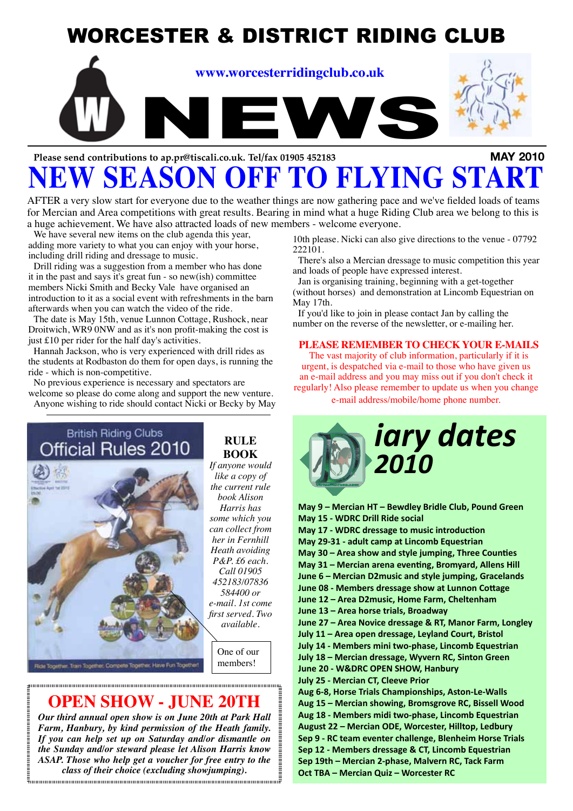# WORCESTER & DISTRICT RIDING CLUB





## **Please send contributions to ap.pr@tiscali.co.uk. Tel/fax 01905 452183 MAY 2010 NEW SEASON OFF TO FLYING START**

AFTER a very slow start for everyone due to the weather things are now gathering pace and we've fielded loads of teams for Mercian and Area competitions with great results. Bearing in mind what a huge Riding Club area we belong to this is a huge achievement. We have also attracted loads of new members - welcome everyone.

We have several new items on the club agenda this year, adding more variety to what you can enjoy with your horse, including drill riding and dressage to music.

Drill riding was a suggestion from a member who has done it in the past and says it's great fun - so new(ish) committee members Nicki Smith and Becky Vale have organised an introduction to it as a social event with refreshments in the barn afterwards when you can watch the video of the ride.

The date is May 15th, venue Lunnon Cottage, Rushock, near Droitwich, WR9 0NW and as it's non profit-making the cost is just £10 per rider for the half day's activities.

Hannah Jackson, who is very experienced with drill rides as the students at Rodbaston do them for open days, is running the ride - which is non-competitive.

No previous experience is necessary and spectators are welcome so please do come along and support the new venture. Anyone wishing to ride should contact Nicki or Becky by May



**RULE BOOK**

*If anyone would like a copy of the current rule book Alison Harris has some which you can collect from her in Fernhill Heath avoiding P&P. £6 each. Call 01905 452183/07836 584400 or e-mail. 1st come first served. Two available.*

> One of our members!

### **OPEN SHOW - JUNE 20TH**

*Our third annual open show is on June 20th at Park Hall Farm, Hanbury, by kind permission of the Heath family. If you can help set up on Saturday and/or dismantle on the Sunday and/or steward please let Alison Harris know ASAP. Those who help get a voucher for free entry to the class of their choice (excluding showjumping).*

10th please. Nicki can also give directions to the venue - 07792 222101.

There's also a Mercian dressage to music competition this year and loads of people have expressed interest.

Jan is organising training, beginning with a get-together (without horses) and demonstration at Lincomb Equestrian on May 17th.

If you'd like to join in please contact Jan by calling the number on the reverse of the newsletter, or e-mailing her.

#### **PLEASE REMEMBER TO CHECK YOUR E-MAILS**

The vast majority of club information, particularly if it is urgent, is despatched via e-mail to those who have given us an e-mail address and you may miss out if you don't check it regularly! Also please remember to update us when you change

e-mail address/mobile/home phone number.



**May 9 – Mercian HT – Bewdley Bridle Club, Pound Green May 15 - WDRC Drill Ride social May 17 - WDRC dressage to music introduction May 29-31 - adult camp at Lincomb Equestrian May 30 – Area show and style jumping, Three Counties May 31 – Mercian arena eventing, Bromyard, Allens Hill June 6 – Mercian D2music and style jumping, Gracelands June 08 - Members dressage show at Lunnon Cottage June 12 – Area D2music, Home Farm, Cheltenham June 13 – Area horse trials, Broadway June 27 – Area Novice dressage & RT, Manor Farm, Longley July 11 – Area open dressage, Leyland Court, Bristol July 14 - Members mini two-phase, Lincomb Equestrian July 18 – Mercian dressage, Wyvern RC, Sinton Green June 20 - W&DRC OPEN SHOW, Hanbury July 25 - Mercian CT, Cleeve Prior Aug 6-8, Horse Trials Championships, Aston-Le-Walls Aug 15 – Mercian showing, Bromsgrove RC, Bissell Wood Aug 18 - Members midi two-phase, Lincomb Equestrian August 22 – Mercian ODE, Worcester, Hilltop, Ledbury Sep 9 - RC team eventer challenge, Blenheim Horse Trials Sep 12 - Members dressage & CT, Lincomb Equestrian Sep 19th – Mercian 2-phase, Malvern RC, Tack Farm Oct TBA – Mercian Quiz – Worcester RC**